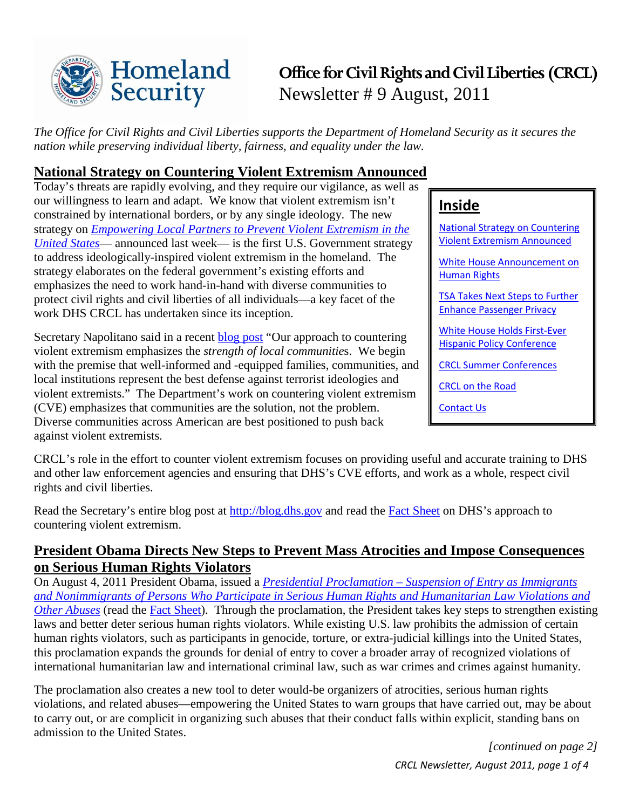

# **Office for Civil Rights and Civil Liberties (CRCL)** Newsletter # 9 August, 2011

*The Office for Civil Rights and Civil Liberties supports the Department of Homeland Security as it secures the nation while preserving individual liberty, fairness, and equality under the law.*

### <span id="page-0-0"></span>**National Strategy on Countering Violent Extremism Announced**

Today's threats are rapidly evolving, and they require our vigilance, as well as our willingness to learn and adapt. We know that violent extremism isn't constrained by international borders, or by any single ideology. The new strategy on *[Empowering Local Partners to Prevent Violent Extremism in the](http://www.whitehouse.gov/sites/default/files/empowering_local_partners.pdf)  [United States](http://www.whitehouse.gov/sites/default/files/empowering_local_partners.pdf)*— announced last week— is the first U.S. Government strategy to address ideologically-inspired violent extremism in the homeland. The strategy elaborates on the federal government's existing efforts and emphasizes the need to work hand-in-hand with diverse communities to protect civil rights and civil liberties of all individuals—a key facet of the work DHS CRCL has undertaken since its inception.

Secretary Napolitano said in a recent [blog post](http://blog.dhs.gov/) "Our approach to countering violent extremism emphasizes the *strength of local communitie*s. We begin with the premise that well-informed and -equipped families, communities, and local institutions represent the best defense against terrorist ideologies and violent extremists." The Department's work on countering violent extremism (CVE) emphasizes that communities are the solution, not the problem. Diverse communities across American are best positioned to push back against violent extremists.

### **Inside**

[National Strategy on Countering](#page-0-0)  [Violent Extremism Announced](#page-0-0) White [House Announcement on](#page-0-1)  [Human Rights](#page-0-1) [TSA Takes Next Steps to Further](#page-1-0)  [Enhance Passenger Privacy](#page-1-0) [White House Holds First-Ever](#page-1-1)  [Hispanic Policy Conference](#page-1-1) [CRCL Summer Conferences](#page-2-0) [CRCL on the Road](#page-2-1) [Contact Us](#page-3-0)

CRCL's role in the effort to counter violent extremism focuses on providing useful and accurate training to DHS and other law enforcement agencies and ensuring that DHS's CVE efforts, and work as a whole, respect civil rights and civil liberties.

Read the Secretary's entire blog post at [http://blog.dhs.gov](http://blog.dhs.gov/) and read the [Fact Sheet](http://www.dhs.gov/files/fact-sheet-approach-to-countering-violent-extremism.pdf) on DHS's approach to countering violent extremism.

### <span id="page-0-1"></span>**President Obama Directs New Steps to Prevent Mass Atrocities and Impose Consequences on Serious Human Rights Violators**

On August 4, 2011 President Obama, issued a *Presidential Proclamation – [Suspension of Entry as Immigrants](http://www.whitehouse.gov/the-press-office/2011/08/04/presidential-proclamation-suspension-entry-immigrants-and-nonimmigrants-)  [and Nonimmigrants of Persons Who Participate in Serious Human Rights and Humanitarian Law Violations and](http://www.whitehouse.gov/the-press-office/2011/08/04/presidential-proclamation-suspension-entry-immigrants-and-nonimmigrants-)  [Other Abuses](http://www.whitehouse.gov/the-press-office/2011/08/04/presidential-proclamation-suspension-entry-immigrants-and-nonimmigrants-)* (read the [Fact Sheet\)](http://www.whitehouse.gov/the-press-office/2011/08/04/fact-sheet-president-obama-directs-new-steps-prevent-mass-atrocities-and). Through the proclamation, the President takes key steps to strengthen existing laws and better deter serious human rights violators. While existing U.S. law prohibits the admission of certain human rights violators, such as participants in genocide, torture, or extra-judicial killings into the United States, this proclamation expands the grounds for denial of entry to cover a broader array of recognized violations of international humanitarian law and international criminal law, such as war crimes and crimes against humanity.

The proclamation also creates a new tool to deter would-be organizers of atrocities, serious human rights violations, and related abuses—empowering the United States to warn groups that have carried out, may be about to carry out, or are complicit in organizing such abuses that their conduct falls within explicit, standing bans on admission to the United States.

> *CRCL Newsletter, August 2011, page 1 of 4 [continued on page 2]*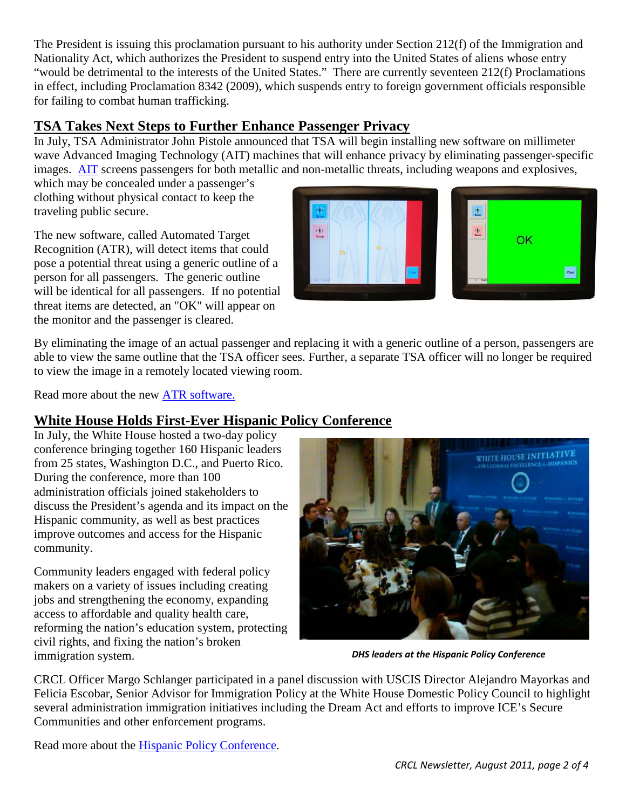The President is issuing this proclamation pursuant to his authority under Section 212(f) of the Immigration and Nationality Act, which authorizes the President to suspend entry into the United States of aliens whose entry "would be detrimental to the interests of the United States." There are currently seventeen 212(f) Proclamations in effect, including Proclamation 8342 (2009), which suspends entry to foreign government officials responsible for failing to combat human trafficking.

### <span id="page-1-0"></span>**TSA Takes Next Steps to Further Enhance Passenger Privacy**

In July, TSA Administrator John Pistole announced that TSA will begin installing new software on millimeter wave Advanced Imaging Technology (AIT) machines that will enhance privacy by eliminating passenger-specific images. [AIT](http://www.tsa.gov/approach/tech/ait/index.shtm) screens passengers for both metallic and non-metallic threats, including weapons and explosives,

which may be concealed under a passenger's clothing without physical contact to keep the traveling public secure.

The new software, called Automated Target Recognition (ATR), will detect items that could pose a potential threat using a generic outline of a person for all passengers. The generic outline will be identical for all passengers. If no potential threat items are detected, an "OK" will appear on the monitor and the passenger is cleared.



By eliminating the image of an actual passenger and replacing it with a generic outline of a person, passengers are able to view the same outline that the TSA officer sees. Further, a separate TSA officer will no longer be required to view the image in a remotely located viewing room.

Read more about the new [ATR software.](http://www.tsa.gov/approach/tech/ait/privacy.shtm)

## <span id="page-1-1"></span>**White House Holds First-Ever Hispanic Policy Conference**

In July, the White House hosted a two-day policy conference bringing together 160 Hispanic leaders from 25 states, Washington D.C., and Puerto Rico. During the conference, more than 100 administration officials joined stakeholders to discuss the President's agenda and its impact on the Hispanic community, as well as best practices improve outcomes and access for the Hispanic community.

Community leaders engaged with federal policy makers on a variety of issues including creating jobs and strengthening the economy, expanding access to affordable and quality health care, reforming the nation's education system, protecting civil rights, and fixing the nation's broken immigration system.



*DHS leaders at the Hispanic Policy Conference*

CRCL Officer Margo Schlanger participated in a panel discussion with USCIS Director Alejandro Mayorkas and Felicia Escobar, Senior Advisor for Immigration Policy at the White House Domestic Policy Council to highlight several administration immigration initiatives including the Dream Act and efforts to improve ICE's Secure Communities and other enforcement programs.

Read more about the [Hispanic Policy Conference.](http://www.whitehouse.gov/blog/2011/07/14/first-ever-white-house-hispanic-policy-conference-why-hispanics-are-critical-winning)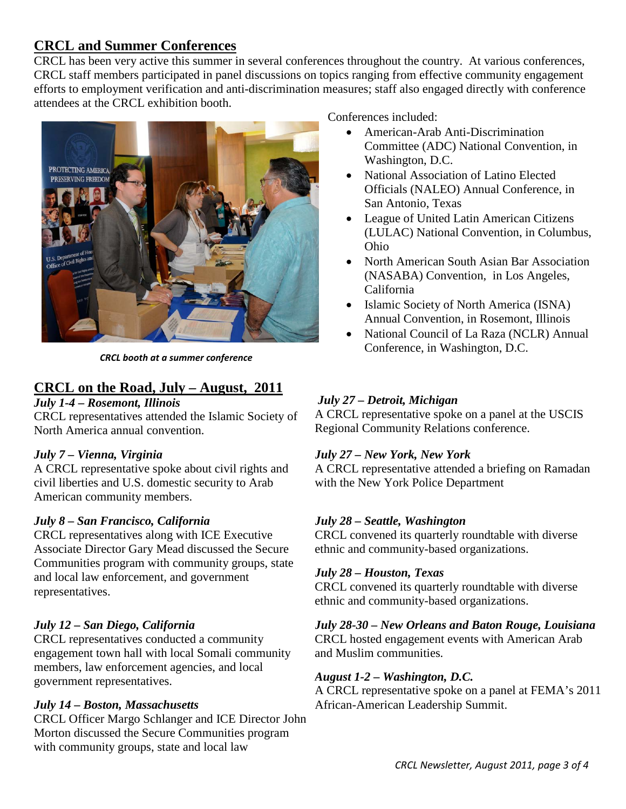### <span id="page-2-0"></span>**CRCL and Summer Conferences**

CRCL has been very active this summer in several conferences throughout the country. At various conferences, CRCL staff members participated in panel discussions on topics ranging from effective community engagement efforts to employment verification and anti-discrimination measures; staff also engaged directly with conference attendees at the CRCL exhibition booth.



*CRCL booth at a summer conference*

### <span id="page-2-1"></span>**CRCL on the Road, July – August, 2011**

#### *July 1-4 – Rosemont, Illinois*

CRCL representatives attended the Islamic Society of North America annual convention.

#### *July 7 – Vienna, Virginia*

A CRCL representative spoke about civil rights and civil liberties and U.S. domestic security to Arab American community members.

#### *July 8 – San Francisco, California*

CRCL representatives along with ICE Executive Associate Director Gary Mead discussed the Secure Communities program with community groups, state and local law enforcement, and government representatives.

#### *July 12 – San Diego, California*

CRCL representatives conducted a community engagement town hall with local Somali community members, law enforcement agencies, and local government representatives.

#### *July 14 – Boston, Massachusetts*

CRCL Officer Margo Schlanger and ICE Director John Morton discussed the Secure Communities program with community groups, state and local law

Conferences included:

- American-Arab Anti-Discrimination Committee (ADC) National Convention, in Washington, D.C.
- National Association of Latino Elected Officials (NALEO) Annual Conference, in San Antonio, Texas
- League of United Latin American Citizens (LULAC) National Convention, in Columbus, Ohio
- North American South Asian Bar Association (NASABA) Convention, in Los Angeles, California
- Islamic Society of North America (ISNA) Annual Convention, in Rosemont, Illinois
- National Council of La Raza (NCLR) Annual Conference, in Washington, D.C.

#### *July 27 – Detroit, Michigan*

A CRCL representative spoke on a panel at the USCIS Regional Community Relations conference.

#### *July 27 – New York, New York*

A CRCL representative attended a briefing on Ramadan with the New York Police Department

#### *July 28 – Seattle, Washington*

CRCL convened its quarterly roundtable with diverse ethnic and community-based organizations.

#### *July 28 – Houston, Texas*

CRCL convened its quarterly roundtable with diverse ethnic and community-based organizations.

#### *July 28-30 – New Orleans and Baton Rouge, Louisiana*

CRCL hosted engagement events with American Arab and Muslim communities.

#### *August 1-2 – Washington, D.C.*

A CRCL representative spoke on a panel at FEMA's 2011 African-American Leadership Summit.